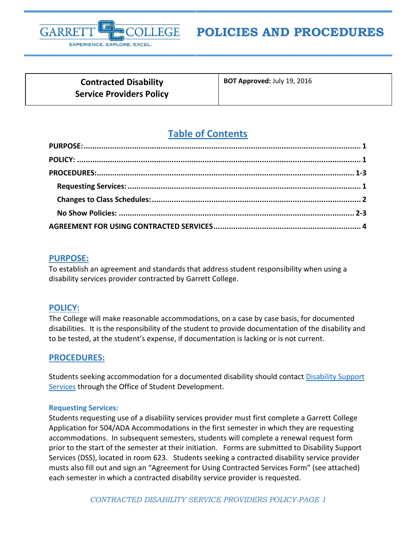

# **POLICIES AND PROCEDURES**

**Contracted Disability Service Providers Policy** **BOT Approved:** July 19, 2016

## **Table of Contents**

#### <span id="page-0-0"></span>**PURPOSE:**

To establish an agreement and standards that address student responsibility when using a disability services provider contracted by Garrett College.

### <span id="page-0-1"></span>**POLICY:**

The College will make reasonable accommodations, on a case by case basis, for documented disabilities. It is the responsibility of the student to provide documentation of the disability and to be tested, at the student's expense, if documentation is lacking or is not current.

### <span id="page-0-2"></span>**PROCEDURES:**

Students seeking accommodation for a documented disability should contact [Disability Support](https://www.garrettcollege.edu/disability-support-services.php)  [Services](https://www.garrettcollege.edu/disability-support-services.php) through the Office of Student Development.

#### <span id="page-0-3"></span>**Requesting Services:**

Students requesting use of a disability services provider must first complete a Garrett College Application for 504/ADA Accommodations in the first semester in which they are requesting accommodations. In subsequent semesters, students will complete a renewal request form prior to the start of the semester at their initiation. Forms are submitted to Disability Support Services (DSS), located in room 623. Students seeking a contracted disability service provider musts also fill out and sign an "Agreement for Using Contracted Services Form" (see attached) each semester in which a contracted disability service provider is requested.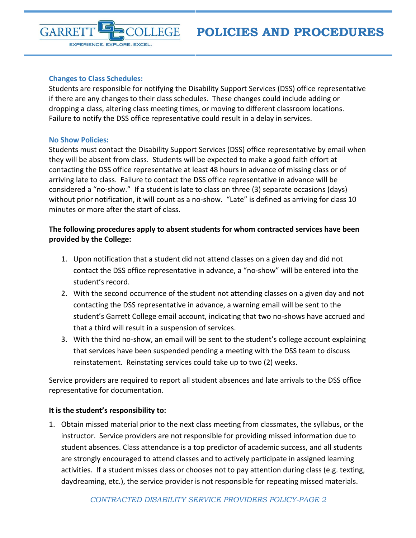#### <span id="page-1-0"></span>**Changes to Class Schedules:**

EXPERIENCE. EXPLORE. EXCEL.

Students are responsible for notifying the Disability Support Services (DSS) office representative if there are any changes to their class schedules. These changes could include adding or dropping a class, altering class meeting times, or moving to different classroom locations. Failure to notify the DSS office representative could result in a delay in services.

#### <span id="page-1-1"></span>**No Show Policies:**

GARRE

Students must contact the Disability Support Services (DSS) office representative by email when they will be absent from class. Students will be expected to make a good faith effort at contacting the DSS office representative at least 48 hours in advance of missing class or of arriving late to class. Failure to contact the DSS office representative in advance will be considered a "no-show." If a student is late to class on three (3) separate occasions (days) without prior notification, it will count as a no-show. "Late" is defined as arriving for class 10 minutes or more after the start of class.

#### **The following procedures apply to absent students for whom contracted services have been provided by the College:**

- 1. Upon notification that a student did not attend classes on a given day and did not contact the DSS office representative in advance, a "no-show" will be entered into the student's record.
- 2. With the second occurrence of the student not attending classes on a given day and not contacting the DSS representative in advance, a warning email will be sent to the student's Garrett College email account, indicating that two no-shows have accrued and that a third will result in a suspension of services.
- 3. With the third no-show, an email will be sent to the student's college account explaining that services have been suspended pending a meeting with the DSS team to discuss reinstatement. Reinstating services could take up to two (2) weeks.

Service providers are required to report all student absences and late arrivals to the DSS office representative for documentation.

#### **It is the student's responsibility to:**

1. Obtain missed material prior to the next class meeting from classmates, the syllabus, or the instructor. Service providers are not responsible for providing missed information due to student absences. Class attendance is a top predictor of academic success, and all students are strongly encouraged to attend classes and to actively participate in assigned learning activities. If a student misses class or chooses not to pay attention during class (e.g. texting, daydreaming, etc.), the service provider is not responsible for repeating missed materials.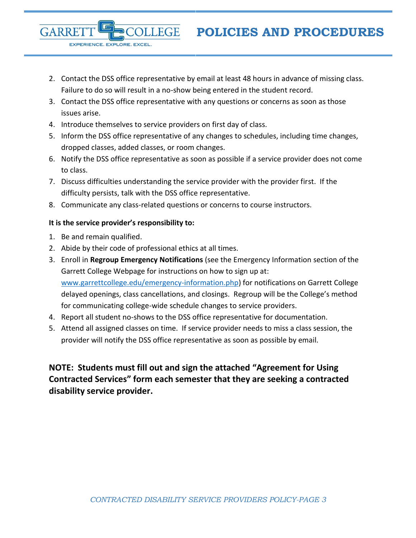**POLICIES AND PROCEDURES**

- 2. Contact the DSS office representative by email at least 48 hours in advance of missing class. Failure to do so will result in a no-show being entered in the student record.
- 3. Contact the DSS office representative with any questions or concerns as soon as those issues arise.
- 4. Introduce themselves to service providers on first day of class.
- 5. Inform the DSS office representative of any changes to schedules, including time changes, dropped classes, added classes, or room changes.
- 6. Notify the DSS office representative as soon as possible if a service provider does not come to class.
- 7. Discuss difficulties understanding the service provider with the provider first. If the difficulty persists, talk with the DSS office representative.
- 8. Communicate any class-related questions or concerns to course instructors.

#### **It is the service provider's responsibility to:**

EXPERIENCE. EXPLORE. EXCEL

1. Be and remain qualified.

GARRE

- 2. Abide by their code of professional ethics at all times.
- 3. Enroll in **Regroup Emergency Notifications** (see the Emergency Information section of the Garrett College Webpage for instructions on how to sign up at: [www.garrettcollege.edu/emergency-information.php\)](http://www.garrettcollege.edu/emergency-information.php) for notifications on Garrett College delayed openings, class cancellations, and closings. Regroup will be the College's method for communicating college-wide schedule changes to service providers.
- 4. Report all student no-shows to the DSS office representative for documentation.
- 5. Attend all assigned classes on time. If service provider needs to miss a class session, the provider will notify the DSS office representative as soon as possible by email.

## **NOTE: Students must fill out and sign the attached "Agreement for Using Contracted Services" form each semester that they are seeking a contracted disability service provider.**